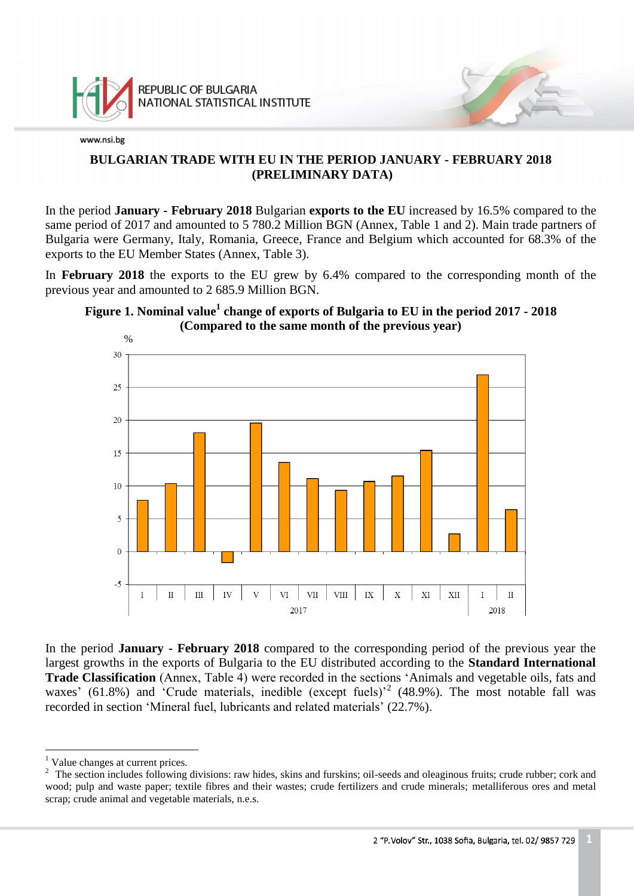

# **BULGARIAN TRADE WITH EU IN THE PERIOD JANUARY - FEBRUARY 2018 (PRELIMINARY DATA)**

In the period **January - February 2018** Bulgarian **exports to the EU** increased by 16.5% compared to the same period of 2017 and amounted to 5 780.2 Million BGN (Annex, Table 1 and 2). Main trade partners of Bulgaria were Germany, Italy, Romania, Greece, France and Belgium which accounted for 68.3% of the exports to the EU Member States (Annex, Table 3).

In **February 2018** the exports to the EU grew by 6.4% compared to the corresponding month of the previous year and amounted to 2 685.9 Million BGN.





In the period **January - February 2018** compared to the corresponding period of the previous year the largest growths in the exports of Bulgaria to the EU distributed according to the **Standard International Trade Classification** (Annex, Table 4) were recorded in the sections 'Animals and vegetable oils, fats and waxes' (61.8%) and 'Crude materials, inedible (except fuels)<sup>2</sup> (48.9%). The most notable fall was recorded in section 'Mineral fuel, lubricants and related materials' (22.7%).

a<br>B

<sup>&</sup>lt;sup>1</sup> Value changes at current prices.

<sup>&</sup>lt;sup>2</sup> The section includes following divisions: raw hides, skins and furskins; oil-seeds and oleaginous fruits; crude rubber; cork and wood; pulp and waste paper; textile fibres and their wastes; crude fertilizers and crude minerals; metalliferous ores and metal scrap; crude animal and vegetable materials, n.e.s.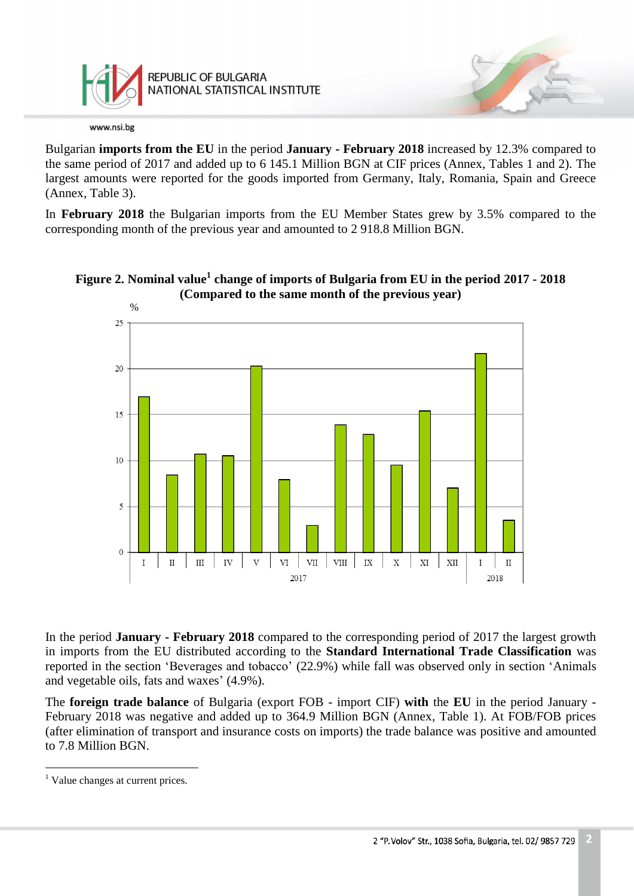

REPUBLIC OF BULGARIA NATIONAL STATISTICAL INSTITUTE

www.nsi.bg

Bulgarian **imports from the EU** in the period **January - February 2018** increased by 12.3% compared to the same period of 2017 and added up to 6 145.1 Million BGN at CIF prices (Annex, Tables 1 and 2). The largest amounts were reported for the goods imported from Germany, Italy, Romania, Spain and Greece (Annex, Table 3).

In **February 2018** the Bulgarian imports from the EU Member States grew by 3.5% compared to the corresponding month of the previous year and amounted to 2 918.8 Million BGN.





In the period **January - February 2018** compared to the corresponding period of 2017 the largest growth in imports from the EU distributed according to the **Standard International Trade Classification** was reported in the section 'Beverages and tobacco' (22.9%) while fall was observed only in section 'Animals and vegetable oils, fats and waxes' (4.9%).

The **foreign trade balance** of Bulgaria (export FOB - import CIF) **with** the **EU** in the period January - February 2018 was negative and added up to 364.9 Million BGN (Annex, Table 1). At FOB/FOB prices (after elimination of transport and insurance costs on imports) the trade balance was positive and amounted to 7.8 Million BGN.

a<br>B

<sup>&</sup>lt;sup>1</sup> Value changes at current prices.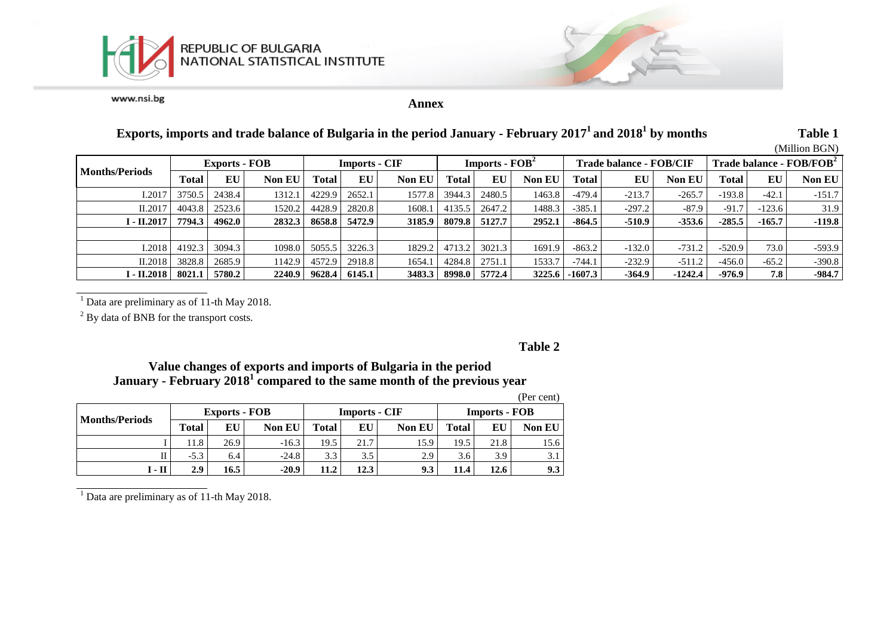



**Annex**

# **Exports, imports and trade balance of Bulgaria in the period January - February 2017 <sup>1</sup>and 2018 1 by months Table 1**

(Million BGN)

|                       |                      |        |               |        |                      |               |                                    |        |               |                                |          |               |                                      |          | (IVIIIIIOII DUIN) |
|-----------------------|----------------------|--------|---------------|--------|----------------------|---------------|------------------------------------|--------|---------------|--------------------------------|----------|---------------|--------------------------------------|----------|-------------------|
|                       | <b>Exports - FOB</b> |        |               |        | <b>Imports - CIF</b> |               | <b>Imports - <math>FOB2</math></b> |        |               | <b>Trade balance - FOB/CIF</b> |          |               | Trade balance - FOB/FOB <sup>2</sup> |          |                   |
| <b>Months/Periods</b> | Total                | EU     | <b>Non EU</b> | Total  | EU                   | <b>Non EU</b> | Total                              | EU     | <b>Non EU</b> | Total                          | EU       | <b>Non EU</b> | Total                                | EU       | <b>Non EU</b>     |
| I.2017                | 3750.5               | 2438.4 | 1312.1        | 4229.9 | 2652.1               | 1577.8        | 3944.3                             | 2480.5 | 1463.8        | $-479.4$                       | $-213.7$ | $-265.7$      | $-193.8$                             | $-42.1$  | $-151.7$          |
| II.2017               | 4043.8               | 2523.6 | 1520.2        | 4428.9 | 2820.8               | 1608.1        | 4135.5                             | 2647.2 | 1488.3        | $-385.1$                       | $-297.2$ | $-87.9$       | $-91.7$                              | $-123.6$ | 31.9              |
| I - II.2017           | 7794.3               | 4962.0 | 2832.3        | 8658.8 | 5472.9               | 3185.9        | 8079.8                             | 5127.7 | 2952.1        | $-864.5$                       | $-510.9$ | $-353.6$      | $-285.5$                             | $-165.7$ | $-119.8$          |
|                       |                      |        |               |        |                      |               |                                    |        |               |                                |          |               |                                      |          |                   |
| I.2018                | 4192.3               | 3094.3 | 1098.0        | 5055.5 | 3226.3               | 1829.2        | 4713.2                             | 3021.3 | 1691.9        | $-863.2$                       | $-132.0$ | $-731.2$      | $-520.9$                             | 73.0     | $-593.9$          |
| II.2018               | 3828.8               | 2685.9 | 1142.9        | 4572.9 | 2918.8               | 1654.1        | 4284.8                             | 2751.1 | 1533.7        | $-744.1$                       | $-232.9$ | $-511.2$      | $-456.0$                             | $-65.2$  | $-390.8$          |
| I - II.2018           | 8021.1               | 5780.2 | 2240.9        | 9628.4 | 6145.1               | 3483.3        | 8998.0                             | 5772.4 | 3225.6        | $-1607.3$                      | $-364.9$ | $-1242.4$     | $-976.9$                             | 7.8      | $-984.7$          |

<sup>1</sup> Data are preliminary as of 11-th May 2018.

 $2$  By data of BNB for the transport costs.

**Table 2**

# **Value changes of exports and imports of Bulgaria in the period January - February 2018 1 compared to the same month of the previous year**

|                       |              |                      |               |       |                      |               |                      |      | (Per cent)    |  |
|-----------------------|--------------|----------------------|---------------|-------|----------------------|---------------|----------------------|------|---------------|--|
| <b>Months/Periods</b> |              | <b>Exports - FOB</b> |               |       | <b>Imports - CIF</b> |               | <b>Imports - FOB</b> |      |               |  |
|                       | <b>Total</b> | EU                   | <b>Non EU</b> | Total | EU                   | <b>Non EU</b> | Total                | EU   | <b>Non EU</b> |  |
|                       | 11.8         | 26.9                 | $-16.3$       | 19.5  | 21.7                 | 15.9          | 19.5                 | 21.8 | 15.6          |  |
|                       | $-5.3$       | 6.4                  | $-24.8$       | 3.3   | 3.5                  | 2.9           | 3.6                  | 3.9  | 3.1           |  |
| I - II                | 2.9          | 16.5                 | $-20.9$       | 11.2  | 12.3                 | 9.3           | 11.4                 | 12.6 | 9.3           |  |

(Per cent)

 $1$  Data are preliminary as of 11-th May 2018.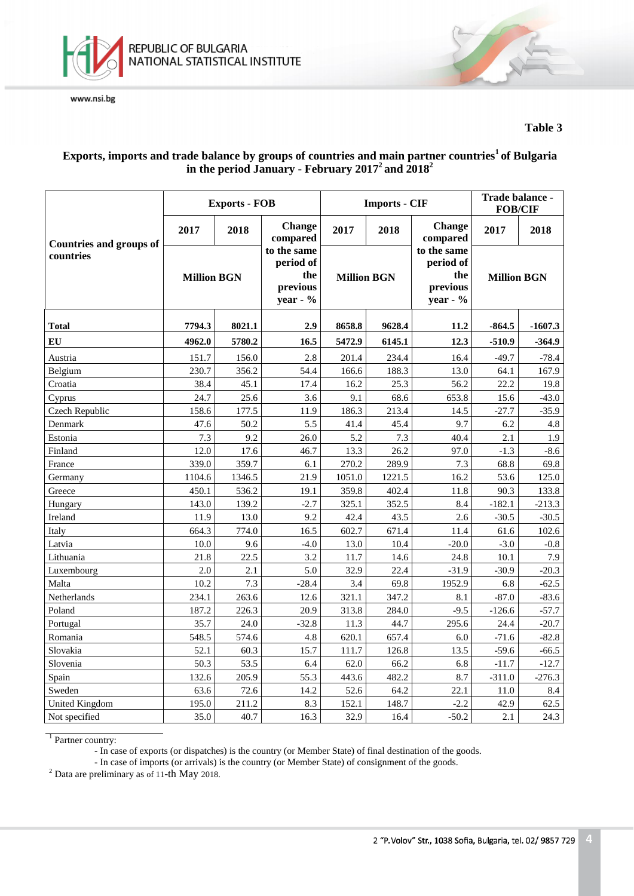

## **Table 3**

# **Exports, imports and trade balance by groups of countries and main partner countries<sup>1</sup>of Bulgaria in the period January - February 2017 <sup>2</sup>and 2018 2**

|                                |                    | <b>Exports - FOB</b> |                                                         |                    | <b>Imports - CIF</b> | Trade balance -<br><b>FOB/CIF</b>                          |                    |           |
|--------------------------------|--------------------|----------------------|---------------------------------------------------------|--------------------|----------------------|------------------------------------------------------------|--------------------|-----------|
| <b>Countries and groups of</b> | 2017               | 2018                 | <b>Change</b><br>compared                               | 2017               | 2018                 | Change<br>compared                                         | 2017               | 2018      |
| countries                      | <b>Million BGN</b> |                      | to the same<br>period of<br>the<br>previous<br>year - % | <b>Million BGN</b> |                      | to the same<br>period of<br>the<br>previous<br>year - $\%$ | <b>Million BGN</b> |           |
| <b>Total</b>                   | 7794.3<br>8021.1   |                      | 2.9                                                     | 8658.8             | 9628.4               |                                                            | $-864.5$           | $-1607.3$ |
| EU                             | 4962.0             | 5780.2               | 16.5                                                    | 5472.9             | 6145.1               | 12.3                                                       | $-510.9$           | $-364.9$  |
| Austria                        | 151.7              | 156.0                | 2.8                                                     | 201.4              | 234.4                | 16.4                                                       | $-49.7$            | $-78.4$   |
| Belgium                        | 230.7              | 356.2                | 54.4                                                    | 166.6              | 188.3                | 13.0                                                       | 64.1               | 167.9     |
| Croatia                        | 38.4               | 45.1                 | 17.4                                                    | 16.2               | 25.3                 | 56.2                                                       | 22.2               | 19.8      |
| Cyprus                         | 24.7               | 25.6                 | 3.6                                                     | 9.1                | 68.6                 | 653.8                                                      | 15.6               | $-43.0$   |
| Czech Republic                 | 158.6              | 177.5                | 11.9                                                    | 186.3              | 213.4                | 14.5                                                       | $-27.7$            | $-35.9$   |
| Denmark                        | 47.6               | 50.2                 | 5.5                                                     | 41.4               | 45.4                 | 9.7                                                        | 6.2                | 4.8       |
| Estonia                        | 7.3                | 9.2                  | 26.0                                                    | 5.2                | 7.3                  | 40.4                                                       | 2.1                | 1.9       |
| Finland                        | 12.0               | 17.6                 | 46.7                                                    | 13.3               | 26.2                 | 97.0                                                       | $-1.3$             | $-8.6$    |
| France                         | 339.0              | 359.7                | 6.1                                                     | 270.2              | 289.9                | 7.3                                                        | 68.8               | 69.8      |
| Germany                        | 1104.6             | 1346.5               | 21.9                                                    | 1051.0             | 1221.5               | 16.2                                                       | 53.6               | 125.0     |
| Greece                         | 450.1              | 536.2                | 19.1                                                    | 359.8              | 402.4                | 11.8                                                       | 90.3               | 133.8     |
| Hungary                        | 143.0              | 139.2                | $-2.7$                                                  | 325.1              | 352.5                | 8.4                                                        | $-182.1$           | $-213.3$  |
| Ireland                        | 11.9               | 13.0                 | 9.2                                                     | 42.4               | 43.5                 | 2.6                                                        | $-30.5$            | $-30.5$   |
| Italy                          | 664.3              | 774.0                | 16.5                                                    | 602.7              | 671.4                | 11.4                                                       | 61.6               | 102.6     |
| Latvia                         | 10.0               | 9.6                  | $-4.0$                                                  | 13.0               | 10.4                 | $-20.0$                                                    | $-3.0$             | $-0.8$    |
| Lithuania                      | 21.8               | 22.5                 | 3.2                                                     | 11.7               | 14.6                 | 24.8                                                       | 10.1               | 7.9       |
| Luxembourg                     | 2.0                | 2.1                  | 5.0                                                     | 32.9               | 22.4                 | $-31.9$                                                    | $-30.9$            | $-20.3$   |
| Malta                          | 10.2               | 7.3                  | $-28.4$                                                 | 3.4                | 69.8                 | 1952.9                                                     | 6.8                | $-62.5$   |
| Netherlands                    | 234.1              | 263.6                | 12.6                                                    | 321.1              | 347.2                | 8.1                                                        | $-87.0$            | $-83.6$   |
| Poland                         | 187.2              | 226.3                | 20.9                                                    | 313.8              | 284.0                | $-9.5$                                                     | $-126.6$           | $-57.7$   |
| Portugal                       | 35.7               | 24.0                 | $-32.8$                                                 | 11.3               | 44.7                 | 295.6                                                      | 24.4               | $-20.7$   |
| Romania                        | 548.5              | 574.6                | 4.8                                                     | 620.1              | 657.4                | 6.0                                                        | $-71.6$            | $-82.8$   |
| Slovakia                       | 52.1               | 60.3                 | 15.7                                                    | 111.7              | 126.8                | 13.5                                                       | $-59.6$            | $-66.5$   |
| Slovenia                       | 50.3               | 53.5                 | 6.4                                                     | 62.0               | 66.2                 | 6.8                                                        | $-11.7$            | $-12.7$   |
| Spain                          | 132.6              | 205.9                | 55.3                                                    | 443.6              | 482.2                | 8.7                                                        | $-311.0$           | $-276.3$  |
| Sweden                         | 63.6               | 72.6                 | 14.2                                                    | 52.6               | 64.2                 | 22.1                                                       | 11.0               | 8.4       |
| <b>United Kingdom</b>          | 195.0              | 211.2                | 8.3                                                     | 152.1              | 148.7                | $-2.2$                                                     | 42.9               | 62.5      |
| Not specified                  | 35.0               | 40.7                 | 16.3                                                    | 32.9               | 16.4                 | $-50.2$                                                    | 2.1                | 24.3      |

<sup>1</sup> Partner country:

- In case of exports (or dispatches) is the country (or Member State) of final destination of the goods.

- In case of imports (or arrivals) is the country (or Member State) of consignment of the goods.

<sup>2</sup> Data are preliminary as of 11-th May 2018.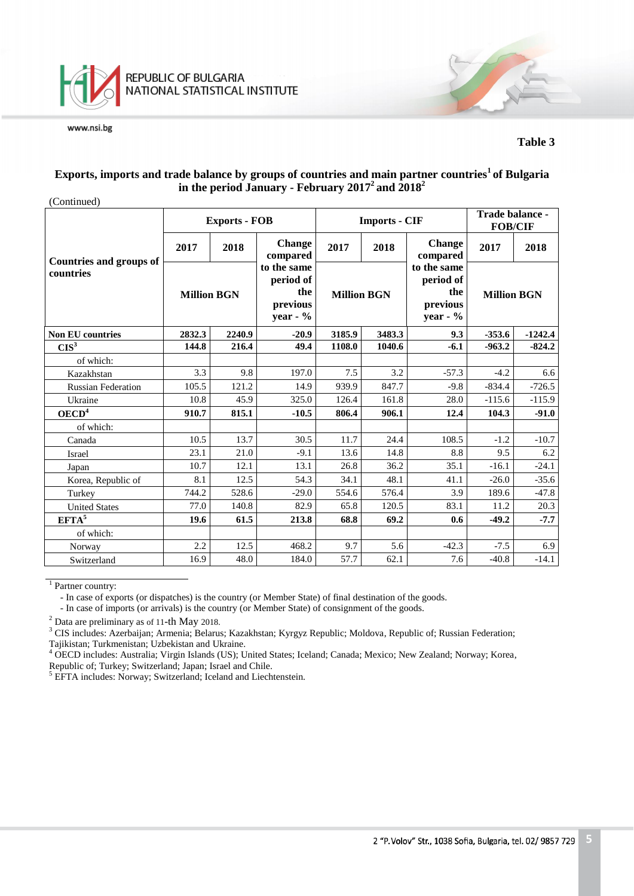

### **Table 3**

## **Exports, imports and trade balance by groups of countries and main partner countries<sup>1</sup>of Bulgaria in the period January - February 2017 <sup>2</sup>and 2018 2**

| (Continued)                                 |                    |                      |                                                            |                    |                      |                                                            |                                   |           |
|---------------------------------------------|--------------------|----------------------|------------------------------------------------------------|--------------------|----------------------|------------------------------------------------------------|-----------------------------------|-----------|
|                                             |                    | <b>Exports - FOB</b> |                                                            |                    | <b>Imports - CIF</b> |                                                            | Trade balance -<br><b>FOB/CIF</b> |           |
|                                             | 2017               | 2018                 | <b>Change</b><br>compared                                  | 2017               | 2018                 | <b>Change</b><br>compared                                  | 2017                              | 2018      |
| <b>Countries and groups of</b><br>countries | <b>Million BGN</b> |                      | to the same<br>period of<br>the<br>previous<br>year - $\%$ | <b>Million BGN</b> |                      | to the same<br>period of<br>the<br>previous<br>year - $\%$ | <b>Million BGN</b>                |           |
| <b>Non EU countries</b>                     | 2832.3<br>2240.9   |                      | $-20.9$                                                    | 3185.9             | 3483.3               | 9.3                                                        | $-353.6$                          | $-1242.4$ |
| CIS <sup>3</sup>                            | 144.8              | 216.4                | 49.4                                                       | 1108.0             | 1040.6               | $-6.1$                                                     | $-963.2$                          | $-824.2$  |
| of which:                                   |                    |                      |                                                            |                    |                      |                                                            |                                   |           |
| Kazakhstan                                  | 3.3                | 9.8                  | 197.0                                                      | 7.5                | 3.2                  | $-57.3$                                                    | $-4.2$                            | 6.6       |
| <b>Russian Federation</b>                   | 105.5              | 121.2                | 14.9                                                       | 939.9              | 847.7                | $-9.8$                                                     | $-834.4$                          | $-726.5$  |
| Ukraine                                     | 10.8               | 45.9                 | 325.0                                                      | 126.4              | 161.8                | 28.0                                                       | $-115.6$                          | $-115.9$  |
| OECD <sup>4</sup>                           | 910.7              | 815.1                | $-10.5$                                                    | 806.4              | 906.1                | 12.4                                                       | 104.3                             | $-91.0$   |
| of which:                                   |                    |                      |                                                            |                    |                      |                                                            |                                   |           |
| Canada                                      | 10.5               | 13.7                 | 30.5                                                       | 11.7               | 24.4                 | 108.5                                                      | $-1.2$                            | $-10.7$   |
| Israel                                      | 23.1               | 21.0                 | $-9.1$                                                     | 13.6               | 14.8                 | 8.8                                                        | 9.5                               | 6.2       |
| Japan                                       | 10.7               | 12.1                 | 13.1                                                       | 26.8               | 36.2                 | 35.1                                                       | $-16.1$                           | $-24.1$   |
| Korea, Republic of                          | 8.1                | 12.5                 | 54.3                                                       | 34.1               | 48.1                 | 41.1                                                       | $-26.0$                           | $-35.6$   |
| Turkey                                      | 744.2              | 528.6                | $-29.0$                                                    | 554.6              | 576.4                | 3.9                                                        | 189.6                             | $-47.8$   |
| <b>United States</b>                        | 77.0               | 140.8                | 82.9                                                       | 65.8               | 120.5                | 83.1                                                       | 11.2                              | 20.3      |
| $EFTA^5$                                    | 19.6               | 61.5                 | 213.8                                                      | 68.8               | 69.2                 | 0.6                                                        | $-49.2$                           | $-7.7$    |
| of which:                                   |                    |                      |                                                            |                    |                      |                                                            |                                   |           |
| Norway                                      | 2.2                | 12.5                 | 468.2                                                      | 9.7                | 5.6                  | $-42.3$                                                    | $-7.5$                            | 6.9       |
| Switzerland                                 | 16.9               | 48.0                 | 184.0                                                      | 57.7               | 62.1                 | 7.6                                                        | $-40.8$                           | $-14.1$   |

<sup>1</sup> Partner country:

- In case of exports (or dispatches) is the country (or Member State) of final destination of the goods.

- In case of imports (or arrivals) is the country (or Member State) of consignment of the goods.

<sup>2</sup> Data are preliminary as of 11-th May 2018.

<sup>3</sup> CIS includes: Azerbaijan; Armenia; Belarus; Kazakhstan; Kyrgyz Republic; Moldova, Republic of; Russian Federation; Tajikistan; Turkmenistan; Uzbekistan and Ukraine.

<sup>4</sup> OECD includes: Australia; Virgin Islands (US); United States; Iceland; Canada; Mexico; New Zealand; Norway; Korea, Republic of; Turkey; Switzerland; Japan; Israel and Chile.

<sup>5</sup> EFTA includes: Norway; Switzerland; Iceland and Liechtenstein.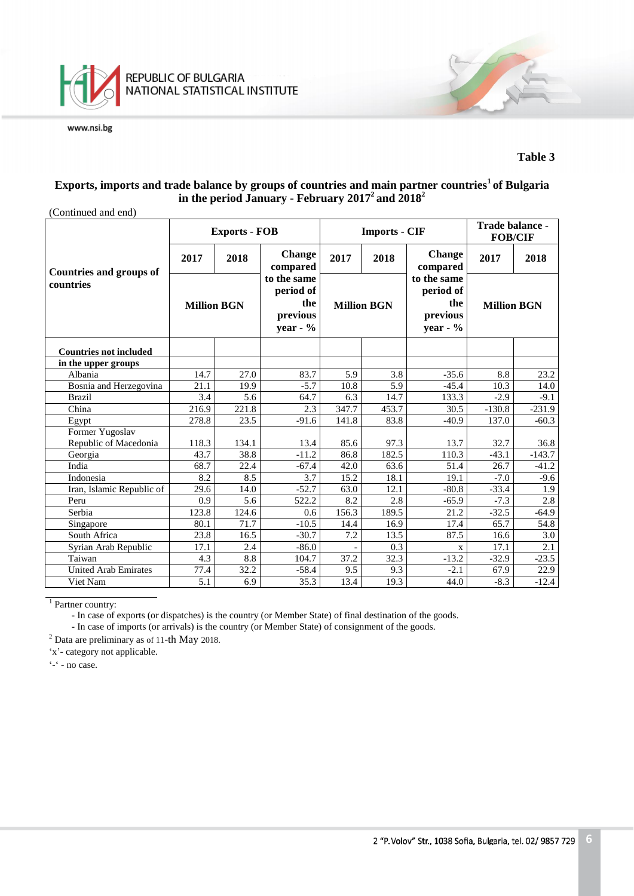

## **Exports, imports and trade balance by groups of countries and main partner countries<sup>1</sup>of Bulgaria in the period January - February 2017 <sup>2</sup>and 2018 2**

| (Continued and end)                         |                    |                      |                                                           |                    |                      |                                                            |                                   |          |
|---------------------------------------------|--------------------|----------------------|-----------------------------------------------------------|--------------------|----------------------|------------------------------------------------------------|-----------------------------------|----------|
|                                             |                    | <b>Exports - FOB</b> |                                                           |                    | <b>Imports - CIF</b> |                                                            | Trade balance -<br><b>FOB/CIF</b> |          |
|                                             | 2017               | 2018                 | <b>Change</b><br>compared                                 | 2017               | 2018                 | <b>Change</b><br>compared                                  | 2017                              | 2018     |
| <b>Countries and groups of</b><br>countries | <b>Million BGN</b> |                      | to the same<br>period of<br>the<br>previous<br>year - $%$ | <b>Million BGN</b> |                      | to the same<br>period of<br>the<br>previous<br>year - $\%$ | <b>Million BGN</b>                |          |
| <b>Countries not included</b>               |                    |                      |                                                           |                    |                      |                                                            |                                   |          |
| in the upper groups                         |                    |                      |                                                           |                    |                      |                                                            |                                   |          |
| Albania                                     | 14.7               | 27.0                 | 83.7                                                      | 5.9                | 3.8                  | $-35.6$                                                    | 8.8                               | 23.2     |
| Bosnia and Herzegovina                      | 21.1               | 19.9                 | $-5.7$                                                    | 10.8               | 5.9                  | $-45.4$                                                    | 10.3                              | 14.0     |
| <b>Brazil</b>                               | 3.4                | 5.6                  | 64.7                                                      | 6.3                | 14.7                 | 133.3                                                      | $-2.9$                            | $-9.1$   |
| China                                       | 216.9              | 221.8                | 2.3                                                       | 347.7              | 453.7                | 30.5                                                       | $-130.8$                          | $-231.9$ |
| Egypt                                       | 278.8              | 23.5                 | $-91.6$                                                   | 141.8              | 83.8                 | $-40.9$                                                    | 137.0                             | $-60.3$  |
| Former Yugoslav                             |                    |                      |                                                           |                    |                      |                                                            |                                   |          |
| Republic of Macedonia                       | 118.3              | 134.1                | 13.4                                                      | 85.6               | 97.3                 | 13.7                                                       | 32.7                              | 36.8     |
| Georgia                                     | 43.7               | 38.8                 | $-11.2$                                                   | 86.8               | 182.5                | 110.3                                                      | $-43.1$                           | $-143.7$ |
| India                                       | 68.7               | 22.4                 | $-67.4$                                                   | 42.0               | 63.6                 | 51.4                                                       | 26.7                              | $-41.2$  |
| Indonesia                                   | 8.2                | 8.5                  | 3.7                                                       | 15.2               | 18.1                 | 19.1                                                       | $-7.0$                            | $-9.6$   |
| Iran, Islamic Republic of                   | 29.6               | 14.0                 | $-52.7$                                                   | 63.0               | 12.1                 | $-80.8$                                                    | $-33.4$                           | 1.9      |
| Peru                                        | 0.9                | 5.6                  | 522.2                                                     | 8.2                | 2.8                  | $-65.9$                                                    | $-7.3$                            | 2.8      |
| Serbia                                      | 123.8              | 124.6                | 0.6                                                       | 156.3              | 189.5                | 21.2                                                       | $-32.5$                           | $-64.9$  |
| Singapore                                   | 80.1               | 71.7                 | $-10.5$                                                   | 14.4               | 16.9                 | 17.4                                                       | 65.7                              | 54.8     |
| South Africa                                | 23.8               | 16.5                 | $-30.7$                                                   | 7.2                | 13.5                 | 87.5                                                       | 16.6                              | 3.0      |
| Syrian Arab Republic                        | 17.1               | 2.4                  | $-86.0$                                                   |                    | 0.3                  | $\mathbf{X}$                                               | 17.1                              | 2.1      |
| Taiwan                                      | 4.3                | 8.8                  | 104.7                                                     | 37.2               | 32.3                 | $-13.2$                                                    | $-32.9$                           | $-23.5$  |
| <b>United Arab Emirates</b>                 | 77.4               | 32.2                 | $-58.4$                                                   | 9.5                | 9.3                  | $-2.1$                                                     | 67.9                              | 22.9     |
| Viet Nam                                    | 5.1                | 6.9                  | 35.3                                                      | 13.4               | 19.3                 | 44.0                                                       | $-8.3$                            | $-12.4$  |

<sup>1</sup> Partner country:

- In case of exports (or dispatches) is the country (or Member State) of final destination of the goods.

- In case of imports (or arrivals) is the country (or Member State) of consignment of the goods.

<sup>2</sup> Data are preliminary as of 11-th May 2018.

'x'- category not applicable.

'-' - no case.